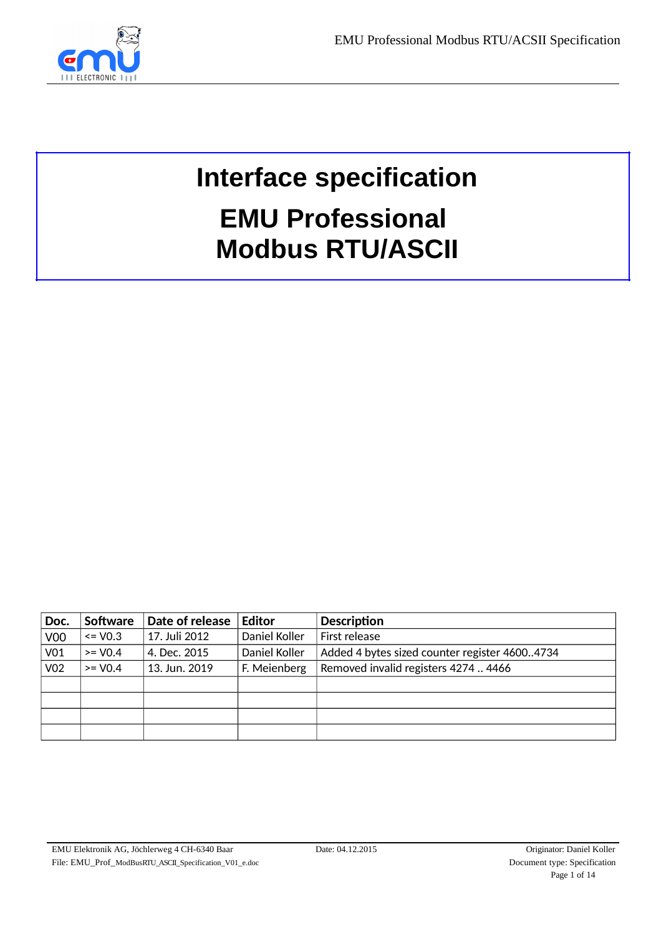

# **Interface specification EMU Professional Modbus RTU/ASCII**

| Doc.            | <b>Software</b> | Date of release | <b>Editor</b> | <b>Description</b>                            |
|-----------------|-----------------|-----------------|---------------|-----------------------------------------------|
| V <sub>00</sub> | $\leq$ V0.3     | 17. Juli 2012   | Daniel Koller | First release                                 |
| V <sub>01</sub> | $>=$ V0.4       | 4. Dec. 2015    | Daniel Koller | Added 4 bytes sized counter register 46004734 |
| V02             | $>=$ V0.4       | 13. Jun. 2019   | F. Meienberg  | Removed invalid registers 4274  4466          |
|                 |                 |                 |               |                                               |
|                 |                 |                 |               |                                               |
|                 |                 |                 |               |                                               |
|                 |                 |                 |               |                                               |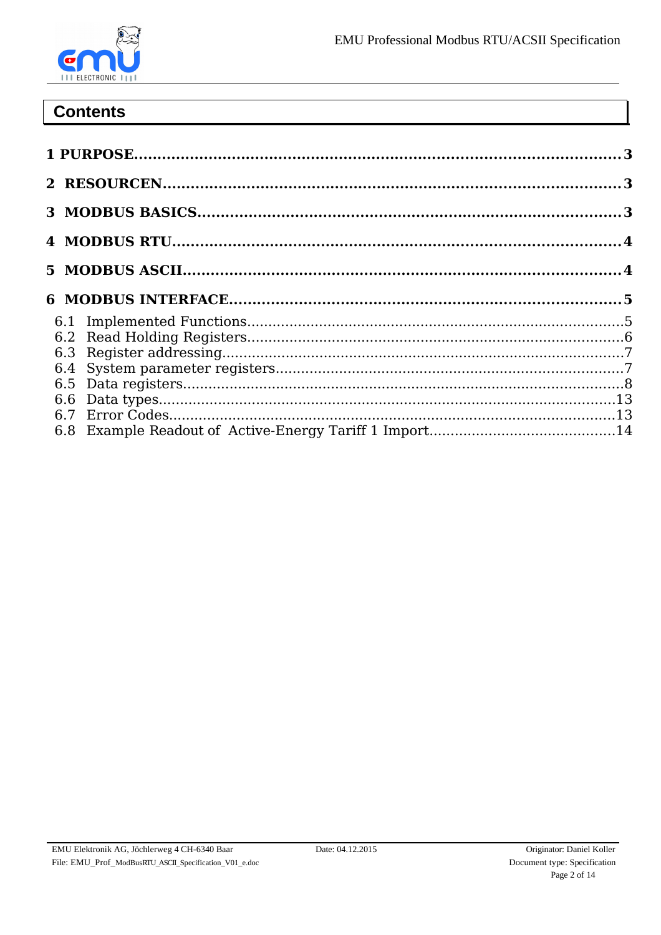# **Contents**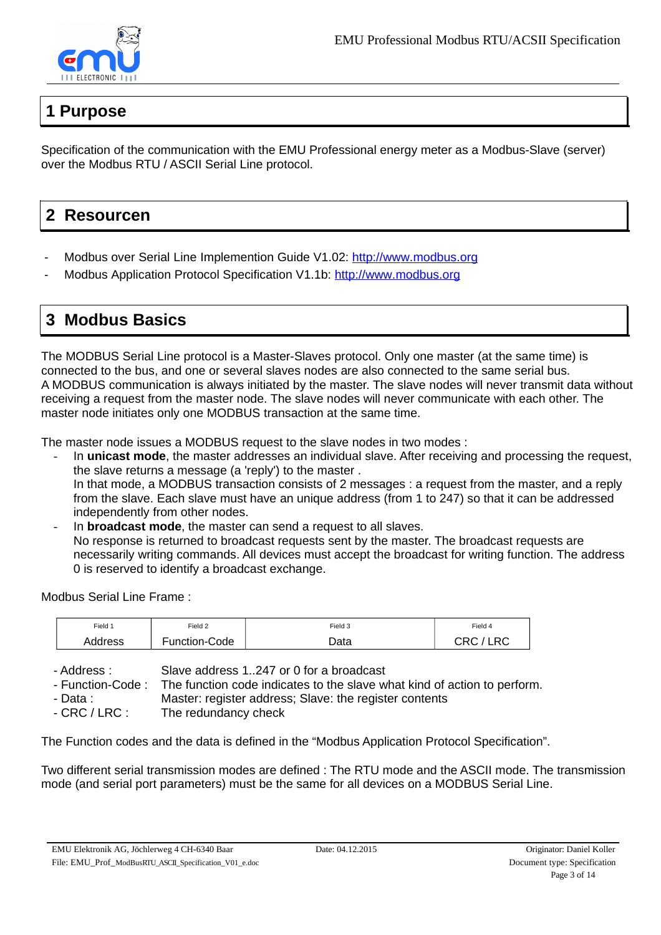

# <span id="page-2-0"></span>**1 Purpose**

Specification of the communication with the EMU Professional energy meter as a Modbus-Slave (server) over the Modbus RTU / ASCII Serial Line protocol.

# <span id="page-2-2"></span>**2 Resourcen**

- Modbus over Serial Line Implemention Guide V1.02: http://www.modbus.org
- Modbus Application Protocol Specification V1.1b: http://www.modbus.org

# <span id="page-2-1"></span>**3 Modbus Basics**

The MODBUS Serial Line protocol is a Master-Slaves protocol. Only one master (at the same time) is connected to the bus, and one or several slaves nodes are also connected to the same serial bus. A MODBUS communication is always initiated by the master. The slave nodes will never transmit data without receiving a request from the master node. The slave nodes will never communicate with each other. The master node initiates only one MODBUS transaction at the same time.

The master node issues a MODBUS request to the slave nodes in two modes :

- In **unicast mode**, the master addresses an individual slave. After receiving and processing the request, the slave returns a message (a 'reply') to the master . In that mode, a MODBUS transaction consists of 2 messages : a request from the master, and a reply from the slave. Each slave must have an unique address (from 1 to 247) so that it can be addressed independently from other nodes.
- In **broadcast mode**, the master can send a request to all slaves. No response is returned to broadcast requests sent by the master. The broadcast requests are necessarily writing commands. All devices must accept the broadcast for writing function. The address 0 is reserved to identify a broadcast exchange.

Modbus Serial Line Frame :

| Field 1 | Field 2       | Field 3 | Field 4            |
|---------|---------------|---------|--------------------|
| Address | Function-Code | Data    | ono.<br>LRC<br>しいし |

- Address : Slave address 1..247 or 0 for a broadcast

- Function-Code : The function code indicates to the slave what kind of action to perform.

- Data : Master: register address; Slave: the register contents

- CRC / LRC : The redundancy check

The Function codes and the data is defined in the "Modbus Application Protocol Specification".

Two different serial transmission modes are defined : The RTU mode and the ASCII mode. The transmission mode (and serial port parameters) must be the same for all devices on a MODBUS Serial Line.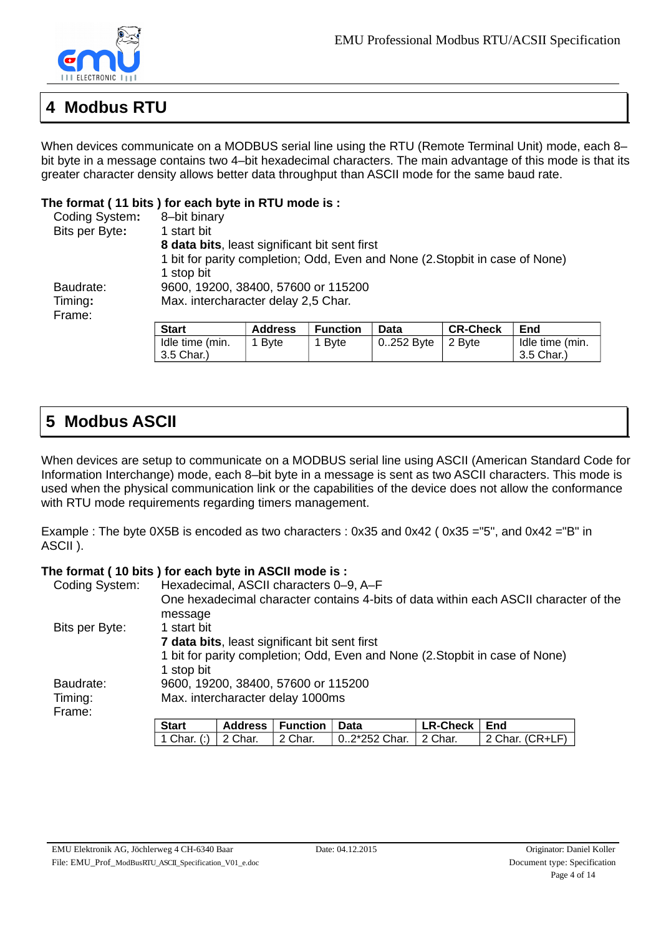

# <span id="page-3-1"></span>**4 Modbus RTU**

When devices communicate on a MODBUS serial line using the RTU (Remote Terminal Unit) mode, each 8– bit byte in a message contains two 4–bit hexadecimal characters. The main advantage of this mode is that its greater character density allows better data throughput than ASCII mode for the same baud rate.

#### **The format ( 11 bits ) for each byte in RTU mode is :**

| Coding System: | 8-bit binary                                                                 |                |                 |             |                 |     |
|----------------|------------------------------------------------------------------------------|----------------|-----------------|-------------|-----------------|-----|
| Bits per Byte: | 1 start bit                                                                  |                |                 |             |                 |     |
|                | 8 data bits, least significant bit sent first                                |                |                 |             |                 |     |
|                | 1 bit for parity completion; Odd, Even and None (2. Stopbit in case of None) |                |                 |             |                 |     |
|                | 1 stop bit                                                                   |                |                 |             |                 |     |
| Baudrate:      | 9600, 19200, 38400, 57600 or 115200                                          |                |                 |             |                 |     |
| Timing:        | Max. intercharacter delay 2,5 Char.                                          |                |                 |             |                 |     |
| Frame:         |                                                                              |                |                 |             |                 |     |
|                | <b>Start</b>                                                                 | <b>Address</b> | <b>Function</b> | <b>Data</b> | <b>CR-Check</b> | End |
|                |                                                                              |                |                 |             |                 |     |

| Idle time (min.<br>Idle time (min.<br>0252 Byte   2 Byte<br>1 Byte<br>1 Byte |  |
|------------------------------------------------------------------------------|--|
| 3.5 Char.)<br>3.5 Char.)                                                     |  |

# <span id="page-3-0"></span>**5 Modbus ASCII**

When devices are setup to communicate on a MODBUS serial line using ASCII (American Standard Code for Information Interchange) mode, each 8–bit byte in a message is sent as two ASCII characters. This mode is used when the physical communication link or the capabilities of the device does not allow the conformance with RTU mode requirements regarding timers management.

Example : The byte 0X5B is encoded as two characters : 0x35 and 0x42 ( 0x35 ="5", and 0x42 ="B" in ASCII ).

#### **The format ( 10 bits ) for each byte in ASCII mode is :**

| Coding System:                                                                                                                              |                                     | Hexadecimal, ASCII characters 0-9, A-F |                 |      |                 |                                                                                      |  |
|---------------------------------------------------------------------------------------------------------------------------------------------|-------------------------------------|----------------------------------------|-----------------|------|-----------------|--------------------------------------------------------------------------------------|--|
|                                                                                                                                             |                                     |                                        |                 |      |                 | One hexadecimal character contains 4-bits of data within each ASCII character of the |  |
|                                                                                                                                             | message                             |                                        |                 |      |                 |                                                                                      |  |
| Bits per Byte:                                                                                                                              | 1 start bit                         |                                        |                 |      |                 |                                                                                      |  |
| 7 data bits, least significant bit sent first<br>1 bit for parity completion; Odd, Even and None (2. Stopbit in case of None)<br>1 stop bit |                                     |                                        |                 |      |                 |                                                                                      |  |
|                                                                                                                                             |                                     |                                        |                 |      |                 |                                                                                      |  |
|                                                                                                                                             |                                     |                                        |                 |      |                 |                                                                                      |  |
| Baudrate:                                                                                                                                   | 9600, 19200, 38400, 57600 or 115200 |                                        |                 |      |                 |                                                                                      |  |
| Timing:                                                                                                                                     | Max. intercharacter delay 1000ms    |                                        |                 |      |                 |                                                                                      |  |
| Frame:                                                                                                                                      |                                     |                                        |                 |      |                 |                                                                                      |  |
|                                                                                                                                             | <b>Start</b>                        | Address                                | <b>Function</b> | Data | <b>LR-Check</b> | End                                                                                  |  |

1 Char. (:)  $2$  Char.  $2$  Char.  $0.2*252$  Char.  $2$  Char.  $2$  Char. (CR+LF)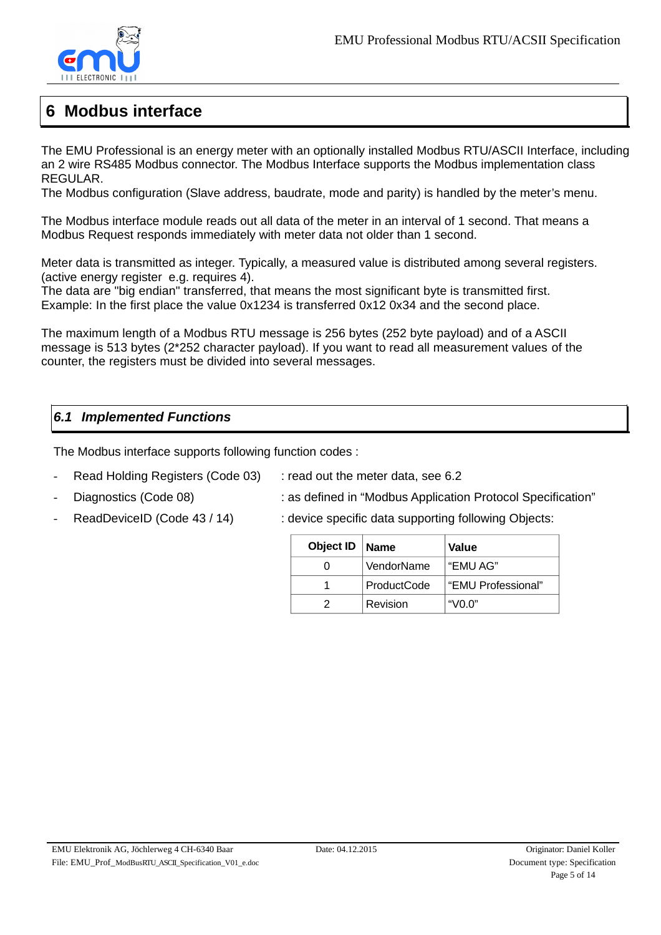

# <span id="page-4-1"></span>**6 Modbus interface**

The EMU Professional is an energy meter with an optionally installed Modbus RTU/ASCII Interface, including an 2 wire RS485 Modbus connector. The Modbus Interface supports the Modbus implementation class REGULAR.

The Modbus configuration (Slave address, baudrate, mode and parity) is handled by the meter's menu.

The Modbus interface module reads out all data of the meter in an interval of 1 second. That means a Modbus Request responds immediately with meter data not older than 1 second.

Meter data is transmitted as integer. Typically, a measured value is distributed among several registers. (active energy register e.g. requires 4).

The data are "big endian" transferred, that means the most significant byte is transmitted first. Example: In the first place the value 0x1234 is transferred 0x12 0x34 and the second place.

The maximum length of a Modbus RTU message is 256 bytes (252 byte payload) and of a ASCII message is 513 bytes (2\*252 character payload). If you want to read all measurement values of the counter, the registers must be divided into several messages.

### <span id="page-4-0"></span>*6.1 Implemented Functions*

The Modbus interface supports following function codes :

- Read Holding Registers (Code 03) : read out the meter data, see 6.2
	-
- Diagnostics (Code 08) : as defined in "Modbus Application Protocol Specification"
- ReadDeviceID (Code 43 / 14) : device specific data supporting following Objects:
- 

| Object ID | <b>Name</b> | Value               |
|-----------|-------------|---------------------|
|           | VendorName  | . "EMU AG"          |
|           | ProductCode | "EMU Professional"  |
|           | Revision    | "V <sub>0.0</sub> " |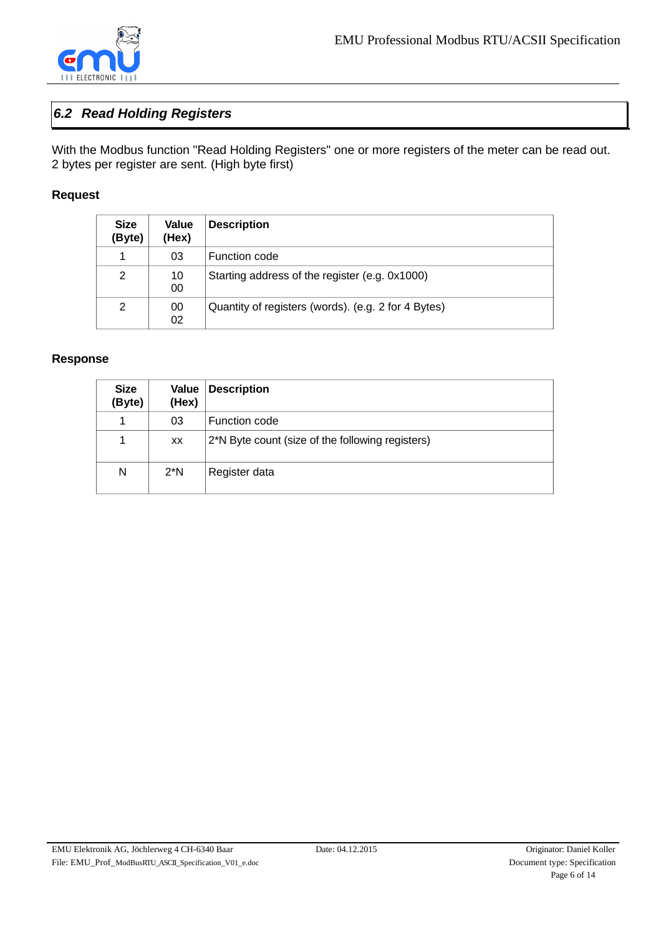

### <span id="page-5-0"></span>*6.2 Read Holding Registers*

With the Modbus function "Read Holding Registers" one or more registers of the meter can be read out. 2 bytes per register are sent. (High byte first)

#### **Request**

| <b>Size</b><br>(Byte) | <b>Value</b><br>(Hex) | <b>Description</b>                                  |
|-----------------------|-----------------------|-----------------------------------------------------|
| 1                     | 03                    | <b>Function code</b>                                |
| 2                     | 10<br>00              | Starting address of the register (e.g. 0x1000)      |
| 2                     | 00<br>02              | Quantity of registers (words). (e.g. 2 for 4 Bytes) |

#### **Response**

| <b>Size</b><br>(Byte) | Value<br>(Hex) | <b>Description</b>                               |
|-----------------------|----------------|--------------------------------------------------|
| 1                     | 03             | Function code                                    |
| 1                     | XX.            | 2*N Byte count (size of the following registers) |
| N                     | $2*N$          | Register data                                    |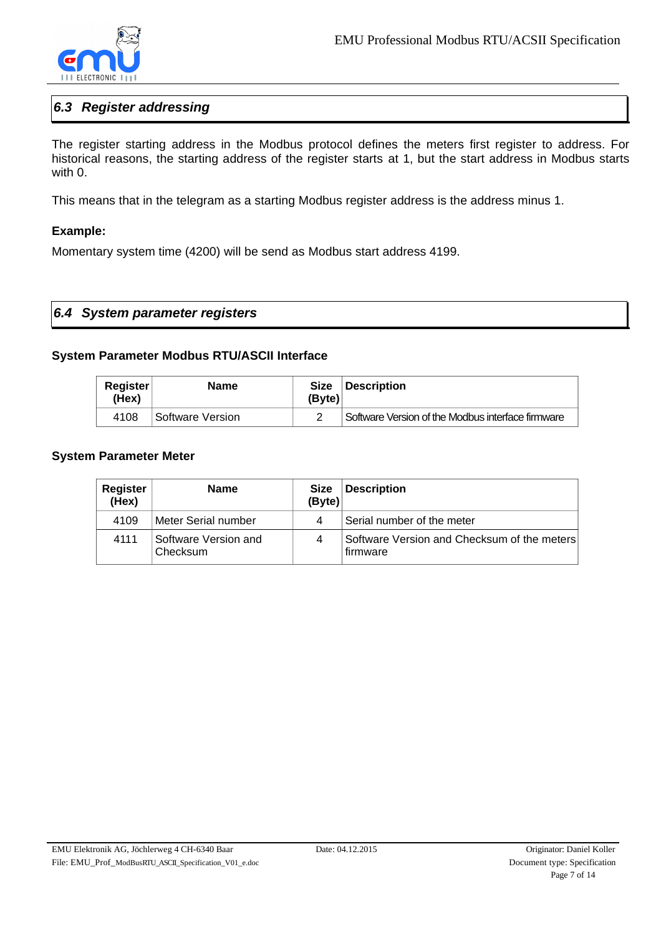

### <span id="page-6-1"></span>*6.3 Register addressing*

The register starting address in the Modbus protocol defines the meters first register to address. For historical reasons, the starting address of the register starts at 1, but the start address in Modbus starts with  $0$ .

This means that in the telegram as a starting Modbus register address is the address minus 1.

#### **Example:**

Momentary system time (4200) will be send as Modbus start address 4199.

<span id="page-6-0"></span>

| $ 6.4 \tS$ ystem parameter registers |  |
|--------------------------------------|--|
|--------------------------------------|--|

#### **System Parameter Modbus RTU/ASCII Interface**

| Register<br>(Hex) | <b>Name</b>      | <b>Size</b><br>(Byte) | Description                                       |
|-------------------|------------------|-----------------------|---------------------------------------------------|
| 4108              | Software Version |                       | Software Version of the Modbus interface firmware |

#### **System Parameter Meter**

| Register<br>(Hex) | <b>Name</b>                      | <b>Size</b><br>(Byte) | <b>Description</b>                                      |
|-------------------|----------------------------------|-----------------------|---------------------------------------------------------|
| 4109              | Meter Serial number              | 4                     | Serial number of the meter                              |
| 4111              | Software Version and<br>Checksum | 4                     | Software Version and Checksum of the meters<br>firmware |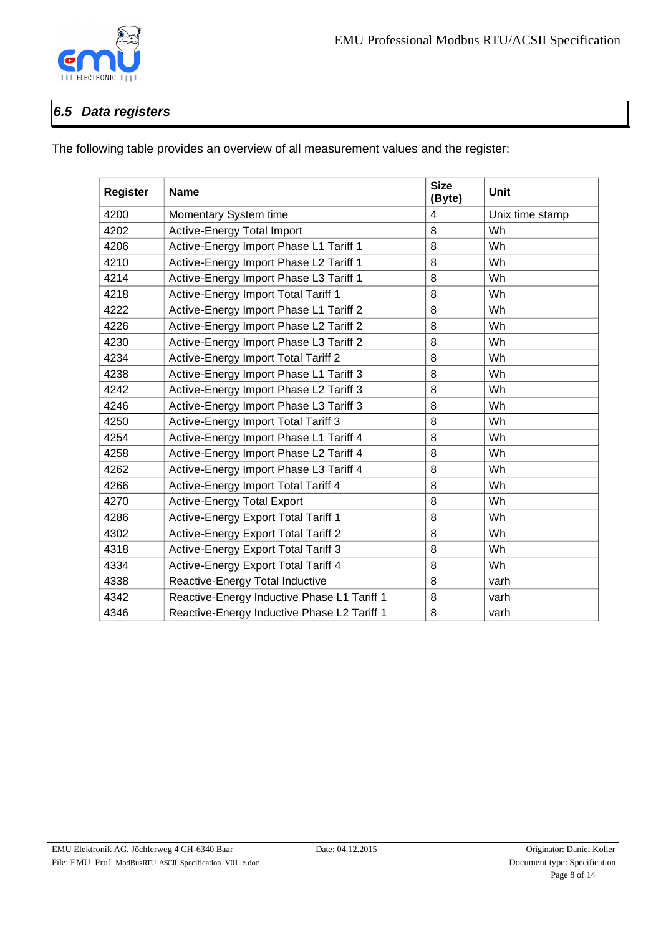

### <span id="page-7-0"></span>*6.5 Data registers*

The following table provides an overview of all measurement values and the register:

| <b>Register</b> | <b>Name</b>                                              | <b>Size</b><br>(Byte) | Unit            |  |
|-----------------|----------------------------------------------------------|-----------------------|-----------------|--|
| 4200            | Momentary System time                                    | 4                     | Unix time stamp |  |
| 4202            | Active-Energy Total Import                               | 8                     | Wh              |  |
| 4206            | Active-Energy Import Phase L1 Tariff 1                   | 8                     | Wh              |  |
| 4210            | Active-Energy Import Phase L2 Tariff 1                   | 8                     | Wh              |  |
| 4214            | Active-Energy Import Phase L3 Tariff 1                   | 8                     | Wh              |  |
| 4218            | Active-Energy Import Total Tariff 1                      | 8                     | Wh              |  |
| 4222            | Active-Energy Import Phase L1 Tariff 2                   | 8                     | Wh              |  |
| 4226            | Active-Energy Import Phase L2 Tariff 2                   | 8                     | Wh              |  |
| 4230            | Active-Energy Import Phase L3 Tariff 2                   | 8                     | Wh              |  |
| 4234            | Active-Energy Import Total Tariff 2                      | 8                     | Wh              |  |
| 4238            | Active-Energy Import Phase L1 Tariff 3                   | 8                     | Wh              |  |
| 4242            | Active-Energy Import Phase L2 Tariff 3                   | 8                     | Wh              |  |
| 4246            | Active-Energy Import Phase L3 Tariff 3                   | 8                     | Wh              |  |
| 4250            | Active-Energy Import Total Tariff 3<br>8<br>Wh           |                       |                 |  |
| 4254            | Active-Energy Import Phase L1 Tariff 4<br>8<br>Wh        |                       |                 |  |
| 4258            | Active-Energy Import Phase L2 Tariff 4                   | 8                     | Wh              |  |
| 4262            | Active-Energy Import Phase L3 Tariff 4                   | 8                     | Wh              |  |
| 4266            | Active-Energy Import Total Tariff 4                      | 8                     | Wh              |  |
| 4270            | <b>Active-Energy Total Export</b>                        | 8                     | Wh              |  |
| 4286            | Active-Energy Export Total Tariff 1                      | 8                     | Wh              |  |
| 4302            | Active-Energy Export Total Tariff 2                      | 8                     | Wh              |  |
| 4318            | Active-Energy Export Total Tariff 3<br>8<br>Wh           |                       |                 |  |
| 4334            | Active-Energy Export Total Tariff 4<br>8<br>Wh           |                       |                 |  |
| 4338            | Reactive-Energy Total Inductive<br>8<br>varh             |                       |                 |  |
| 4342            | Reactive-Energy Inductive Phase L1 Tariff 1<br>8<br>varh |                       |                 |  |
| 4346            | Reactive-Energy Inductive Phase L2 Tariff 1<br>8<br>varh |                       |                 |  |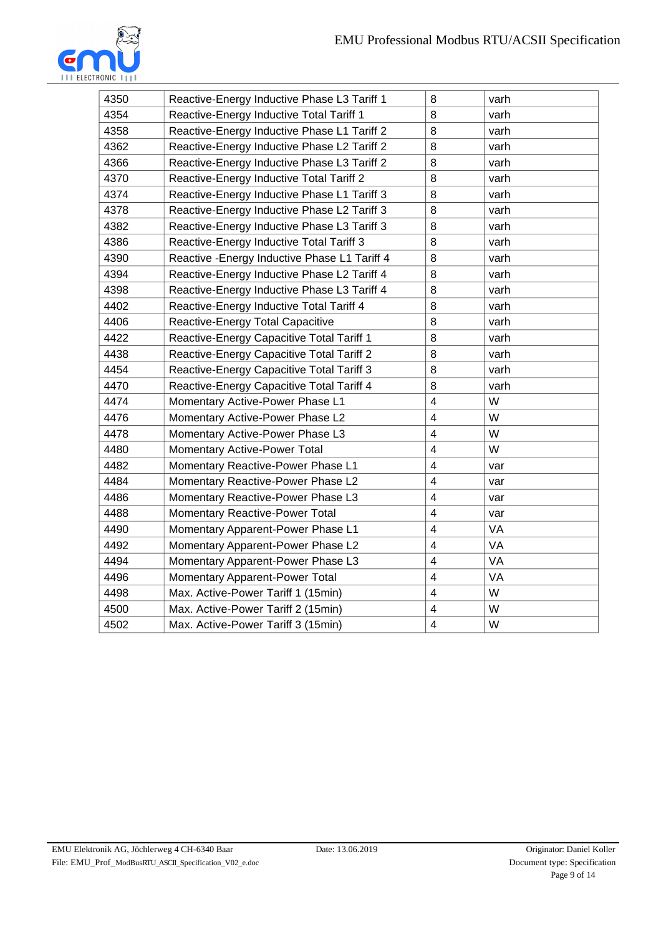

| 4350 | Reactive-Energy Inductive Phase L3 Tariff 1                      | 8                   | varh |  |  |
|------|------------------------------------------------------------------|---------------------|------|--|--|
| 4354 | Reactive-Energy Inductive Total Tariff 1                         | 8                   | varh |  |  |
| 4358 | Reactive-Energy Inductive Phase L1 Tariff 2                      | 8                   | varh |  |  |
| 4362 | Reactive-Energy Inductive Phase L2 Tariff 2                      | 8                   | varh |  |  |
| 4366 | Reactive-Energy Inductive Phase L3 Tariff 2                      | 8                   | varh |  |  |
| 4370 | Reactive-Energy Inductive Total Tariff 2                         | 8                   | varh |  |  |
| 4374 | Reactive-Energy Inductive Phase L1 Tariff 3                      | 8                   | varh |  |  |
| 4378 | Reactive-Energy Inductive Phase L2 Tariff 3                      | 8                   | varh |  |  |
| 4382 | Reactive-Energy Inductive Phase L3 Tariff 3                      | 8                   | varh |  |  |
| 4386 | Reactive-Energy Inductive Total Tariff 3                         | 8                   | varh |  |  |
| 4390 | Reactive - Energy Inductive Phase L1 Tariff 4                    | 8                   | varh |  |  |
| 4394 | Reactive-Energy Inductive Phase L2 Tariff 4                      | 8                   | varh |  |  |
| 4398 | Reactive-Energy Inductive Phase L3 Tariff 4                      | 8                   | varh |  |  |
| 4402 | Reactive-Energy Inductive Total Tariff 4                         | 8                   | varh |  |  |
| 4406 | Reactive-Energy Total Capacitive                                 | 8                   | varh |  |  |
| 4422 | 8<br>varh<br>Reactive-Energy Capacitive Total Tariff 1           |                     |      |  |  |
| 4438 | 8<br>Reactive-Energy Capacitive Total Tariff 2<br>varh           |                     |      |  |  |
| 4454 | 8<br>Reactive-Energy Capacitive Total Tariff 3<br>varh           |                     |      |  |  |
| 4470 | Reactive-Energy Capacitive Total Tariff 4                        | 8                   | varh |  |  |
| 4474 | $\overline{4}$<br>W<br>Momentary Active-Power Phase L1           |                     |      |  |  |
| 4476 | Momentary Active-Power Phase L2                                  | $\overline{4}$      | W    |  |  |
| 4478 | Momentary Active-Power Phase L3                                  | $\overline{4}$<br>W |      |  |  |
| 4480 | Momentary Active-Power Total                                     | $\overline{4}$      | W    |  |  |
| 4482 | Momentary Reactive-Power Phase L1                                | $\overline{4}$      | var  |  |  |
| 4484 | Momentary Reactive-Power Phase L2                                | $\overline{4}$      | var  |  |  |
| 4486 | Momentary Reactive-Power Phase L3                                | $\overline{4}$      | var  |  |  |
| 4488 | Momentary Reactive-Power Total                                   | $\overline{4}$      | var  |  |  |
| 4490 | Momentary Apparent-Power Phase L1                                | $\overline{4}$      | VA   |  |  |
| 4492 | $\overline{4}$<br><b>VA</b><br>Momentary Apparent-Power Phase L2 |                     |      |  |  |
| 4494 | $\overline{4}$<br>VA<br>Momentary Apparent-Power Phase L3        |                     |      |  |  |
| 4496 | <b>Momentary Apparent-Power Total</b>                            | $\overline{4}$      | VA   |  |  |
| 4498 | Max. Active-Power Tariff 1 (15min)                               | $\overline{4}$      | W    |  |  |
| 4500 | Max. Active-Power Tariff 2 (15min)<br>$\overline{4}$<br>W        |                     |      |  |  |
| 4502 | $\overline{4}$<br>W<br>Max. Active-Power Tariff 3 (15min)        |                     |      |  |  |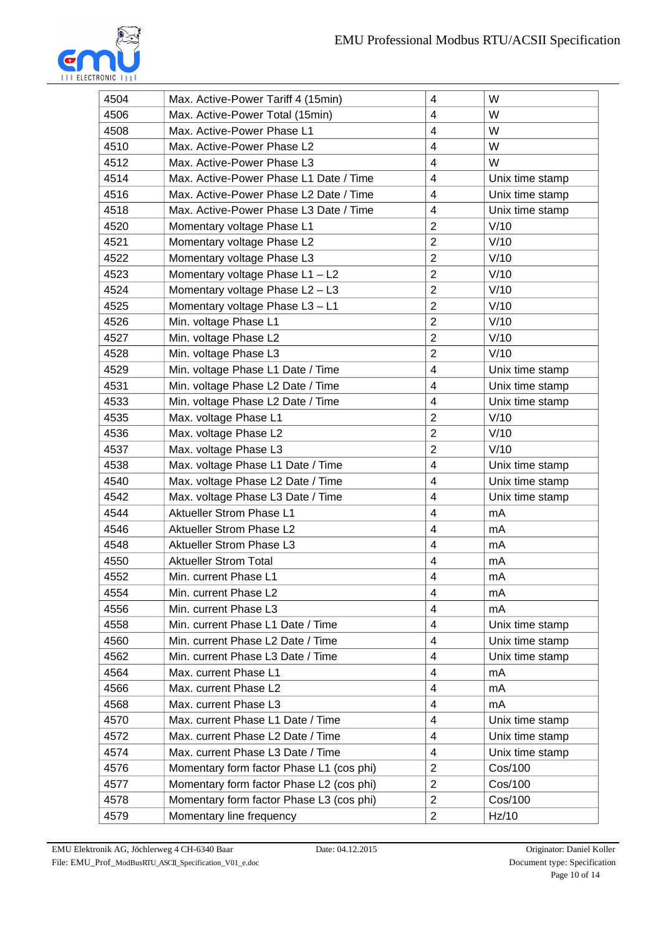

| 4504 | Max. Active-Power Tariff 4 (15min)       | $\overline{4}$           | W               |
|------|------------------------------------------|--------------------------|-----------------|
| 4506 | Max. Active-Power Total (15min)          | 4                        | W               |
| 4508 | Max. Active-Power Phase L1               | $\overline{4}$           | W               |
| 4510 | Max. Active-Power Phase L2               | 4                        | W               |
| 4512 | Max. Active-Power Phase L3               | 4                        | W               |
| 4514 | Max. Active-Power Phase L1 Date / Time   | $\overline{4}$           | Unix time stamp |
| 4516 | Max. Active-Power Phase L2 Date / Time   | $\overline{4}$           | Unix time stamp |
| 4518 | Max. Active-Power Phase L3 Date / Time   | $\overline{4}$           | Unix time stamp |
| 4520 | Momentary voltage Phase L1               | $\overline{2}$           | V/10            |
| 4521 | Momentary voltage Phase L2               | $\overline{2}$           | V/10            |
| 4522 | Momentary voltage Phase L3               | $\overline{2}$           | V/10            |
| 4523 | Momentary voltage Phase $L1 - L2$        | $\overline{c}$           | V/10            |
| 4524 | Momentary voltage Phase L2 - L3          | $\overline{2}$           | V/10            |
| 4525 | Momentary voltage Phase L3 - L1          | $\overline{2}$           | V/10            |
| 4526 | Min. voltage Phase L1                    | $\overline{2}$           | V/10            |
| 4527 | Min. voltage Phase L2                    | $\overline{2}$           | V/10            |
| 4528 | Min. voltage Phase L3                    | $\overline{2}$           | V/10            |
| 4529 | Min. voltage Phase L1 Date / Time        | $\overline{\mathcal{L}}$ | Unix time stamp |
| 4531 | Min. voltage Phase L2 Date / Time        | 4                        | Unix time stamp |
| 4533 | Min. voltage Phase L2 Date / Time        | $\overline{4}$           | Unix time stamp |
| 4535 | Max. voltage Phase L1                    | $\overline{c}$           | V/10            |
| 4536 | Max. voltage Phase L2                    | $\overline{2}$           | V/10            |
| 4537 | Max. voltage Phase L3                    | $\overline{2}$           | V/10            |
| 4538 | Max. voltage Phase L1 Date / Time        | $\overline{4}$           | Unix time stamp |
| 4540 | Max. voltage Phase L2 Date / Time        | $\overline{\mathcal{L}}$ | Unix time stamp |
| 4542 | Max. voltage Phase L3 Date / Time        | 4                        | Unix time stamp |
| 4544 | Aktueller Strom Phase L1                 | $\overline{4}$           | mA              |
| 4546 | Aktueller Strom Phase L2                 | 4                        | <b>mA</b>       |
| 4548 | <b>Aktueller Strom Phase L3</b>          | 4                        | mA              |
| 4550 | <b>Aktueller Strom Total</b>             | 4                        | mA              |
| 4552 | Min. current Phase L1                    | 4                        | mA              |
| 4554 | Min. current Phase L2                    | 4                        | mA              |
| 4556 | Min. current Phase L3                    | 4                        | <b>mA</b>       |
| 4558 | Min. current Phase L1 Date / Time        | 4                        | Unix time stamp |
| 4560 | Min. current Phase L2 Date / Time        | $\overline{\mathcal{L}}$ | Unix time stamp |
| 4562 | Min. current Phase L3 Date / Time        | 4                        | Unix time stamp |
| 4564 | Max. current Phase L1                    | $\overline{4}$           | <b>mA</b>       |
| 4566 | Max. current Phase L2                    | 4                        | mA              |
| 4568 | Max. current Phase L3                    | 4                        | <b>mA</b>       |
| 4570 | Max. current Phase L1 Date / Time        | $\overline{4}$           | Unix time stamp |
| 4572 | Max. current Phase L2 Date / Time        | 4                        | Unix time stamp |
| 4574 | Max. current Phase L3 Date / Time        | 4                        | Unix time stamp |
| 4576 | Momentary form factor Phase L1 (cos phi) | $\overline{2}$           | Cos/100         |
| 4577 | Momentary form factor Phase L2 (cos phi) | $\overline{c}$           | Cos/100         |
| 4578 | Momentary form factor Phase L3 (cos phi) | $\overline{2}$           | Cos/100         |
| 4579 | Momentary line frequency                 | 2                        | Hz/10           |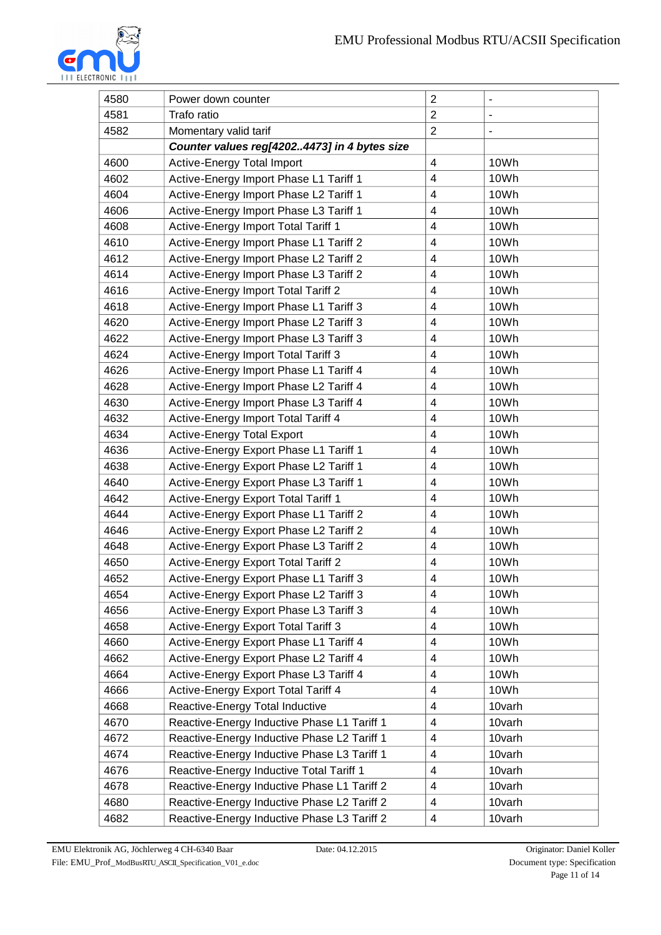

| 4580 | Power down counter                                                         | $\overline{2}$           | $\qquad \qquad \blacksquare$ |  |
|------|----------------------------------------------------------------------------|--------------------------|------------------------------|--|
| 4581 | Trafo ratio                                                                | $\overline{c}$           | $\qquad \qquad \blacksquare$ |  |
| 4582 | Momentary valid tarif                                                      | $\overline{c}$           | $\qquad \qquad \blacksquare$ |  |
|      | Counter values reg[42024473] in 4 bytes size                               |                          |                              |  |
| 4600 | Active-Energy Total Import                                                 | 4                        | 10Wh                         |  |
| 4602 | Active-Energy Import Phase L1 Tariff 1                                     | $\overline{4}$           | 10Wh                         |  |
| 4604 | Active-Energy Import Phase L2 Tariff 1                                     | 4                        | 10Wh                         |  |
| 4606 | Active-Energy Import Phase L3 Tariff 1                                     | $\overline{4}$           | 10Wh                         |  |
| 4608 | Active-Energy Import Total Tariff 1                                        | 4                        | 10Wh                         |  |
| 4610 | Active-Energy Import Phase L1 Tariff 2                                     | 4                        | 10Wh                         |  |
| 4612 | Active-Energy Import Phase L2 Tariff 2                                     | $\pmb{4}$                | 10Wh                         |  |
| 4614 | Active-Energy Import Phase L3 Tariff 2                                     | 4                        | 10Wh                         |  |
| 4616 | Active-Energy Import Total Tariff 2                                        | 4                        | 10Wh                         |  |
| 4618 | Active-Energy Import Phase L1 Tariff 3                                     | 4                        | 10Wh                         |  |
| 4620 | Active-Energy Import Phase L2 Tariff 3                                     | 4                        | 10Wh                         |  |
| 4622 | Active-Energy Import Phase L3 Tariff 3                                     | $\overline{4}$           | 10Wh                         |  |
| 4624 | Active-Energy Import Total Tariff 3                                        | $\overline{4}$           | 10Wh                         |  |
| 4626 | Active-Energy Import Phase L1 Tariff 4                                     | $\overline{4}$           | 10Wh                         |  |
| 4628 | Active-Energy Import Phase L2 Tariff 4                                     | 4                        | 10Wh                         |  |
| 4630 | Active-Energy Import Phase L3 Tariff 4                                     | 4                        | 10Wh                         |  |
| 4632 | Active-Energy Import Total Tariff 4                                        | $\overline{4}$           | 10Wh                         |  |
| 4634 | <b>Active-Energy Total Export</b>                                          | $\overline{4}$           | 10Wh                         |  |
| 4636 | Active-Energy Export Phase L1 Tariff 1<br>$\overline{4}$<br>10Wh           |                          |                              |  |
| 4638 | $\overline{\mathcal{A}}$<br>Active-Energy Export Phase L2 Tariff 1<br>10Wh |                          |                              |  |
| 4640 | 10Wh<br>Active-Energy Export Phase L3 Tariff 1<br>4                        |                          |                              |  |
| 4642 | $\pmb{4}$<br>Active-Energy Export Total Tariff 1<br>10Wh                   |                          |                              |  |
| 4644 | $\overline{4}$<br>Active-Energy Export Phase L1 Tariff 2<br>10Wh           |                          |                              |  |
| 4646 | Active-Energy Export Phase L2 Tariff 2<br>10Wh<br>4                        |                          |                              |  |
| 4648 | Active-Energy Export Phase L3 Tariff 2<br>4<br>10Wh                        |                          |                              |  |
| 4650 | Active-Energy Export Total Tariff 2                                        | 4                        | 10Wh                         |  |
| 4652 | Active-Energy Export Phase L1 Tariff 3                                     | $\overline{4}$           | 10Wh                         |  |
| 4654 | Active-Energy Export Phase L2 Tariff 3                                     | 4                        | 10Wh                         |  |
| 4656 | Active-Energy Export Phase L3 Tariff 3                                     | 4                        | 10Wh                         |  |
| 4658 | Active-Energy Export Total Tariff 3                                        | 4                        | 10Wh                         |  |
| 4660 | Active-Energy Export Phase L1 Tariff 4                                     | 4                        | 10Wh                         |  |
| 4662 | Active-Energy Export Phase L2 Tariff 4                                     | $\overline{\mathcal{A}}$ | 10Wh                         |  |
| 4664 | Active-Energy Export Phase L3 Tariff 4                                     | $\overline{4}$           | 10Wh                         |  |
| 4666 | 10Wh<br>Active-Energy Export Total Tariff 4<br>4                           |                          |                              |  |
| 4668 | Reactive-Energy Total Inductive<br>4<br>10varh                             |                          |                              |  |
| 4670 | 10varh<br>Reactive-Energy Inductive Phase L1 Tariff 1<br>4                 |                          |                              |  |
| 4672 | $\pmb{4}$<br>10varh<br>Reactive-Energy Inductive Phase L2 Tariff 1         |                          |                              |  |
| 4674 | Reactive-Energy Inductive Phase L3 Tariff 1                                | 4                        | 10varh                       |  |
| 4676 | Reactive-Energy Inductive Total Tariff 1                                   | 4                        | 10varh                       |  |
| 4678 | Reactive-Energy Inductive Phase L1 Tariff 2                                | $\overline{4}$           | 10varh                       |  |
| 4680 | 10varh<br>Reactive-Energy Inductive Phase L2 Tariff 2<br>4                 |                          |                              |  |
| 4682 | Reactive-Energy Inductive Phase L3 Tariff 2                                | 4                        | 10varh                       |  |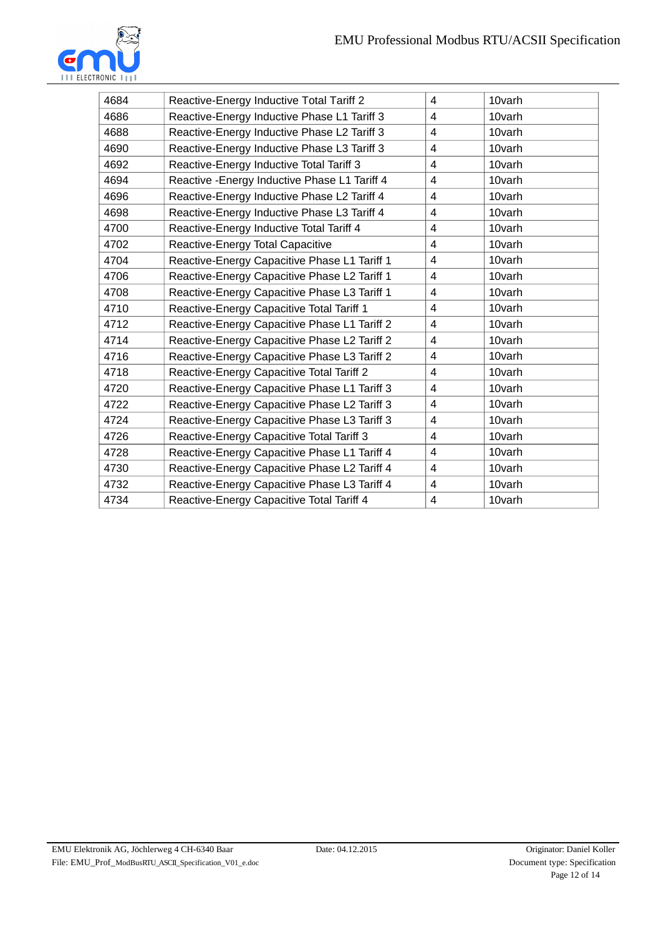

| 4684 | Reactive-Energy Inductive Total Tariff 2                    | 4           | 10varh |  |  |
|------|-------------------------------------------------------------|-------------|--------|--|--|
| 4686 | 10varh<br>Reactive-Energy Inductive Phase L1 Tariff 3<br>4  |             |        |  |  |
| 4688 | Reactive-Energy Inductive Phase L2 Tariff 3<br>10varh<br>4  |             |        |  |  |
| 4690 | Reactive-Energy Inductive Phase L3 Tariff 3                 | 4           | 10varh |  |  |
| 4692 | Reactive-Energy Inductive Total Tariff 3                    | 4           | 10varh |  |  |
| 4694 | Reactive - Energy Inductive Phase L1 Tariff 4               | 4           | 10varh |  |  |
| 4696 | Reactive-Energy Inductive Phase L2 Tariff 4                 | 4           | 10varh |  |  |
| 4698 | Reactive-Energy Inductive Phase L3 Tariff 4                 | 4           | 10varh |  |  |
| 4700 | Reactive-Energy Inductive Total Tariff 4<br>10varh<br>4     |             |        |  |  |
| 4702 | Reactive-Energy Total Capacitive                            | 4           | 10varh |  |  |
| 4704 | Reactive-Energy Capacitive Phase L1 Tariff 1                | 4           | 10varh |  |  |
| 4706 | Reactive-Energy Capacitive Phase L2 Tariff 1                | 4<br>10varh |        |  |  |
| 4708 | Reactive-Energy Capacitive Phase L3 Tariff 1                | 10varh<br>4 |        |  |  |
| 4710 | 10varh<br>Reactive-Energy Capacitive Total Tariff 1<br>4    |             |        |  |  |
| 4712 | Reactive-Energy Capacitive Phase L1 Tariff 2<br>10varh<br>4 |             |        |  |  |
| 4714 | Reactive-Energy Capacitive Phase L2 Tariff 2                | 10varh<br>4 |        |  |  |
| 4716 | Reactive-Energy Capacitive Phase L3 Tariff 2                | 4           | 10varh |  |  |
| 4718 | Reactive-Energy Capacitive Total Tariff 2                   | 4           | 10varh |  |  |
| 4720 | Reactive-Energy Capacitive Phase L1 Tariff 3                | 4           | 10varh |  |  |
| 4722 | Reactive-Energy Capacitive Phase L2 Tariff 3                | 4           | 10varh |  |  |
| 4724 | Reactive-Energy Capacitive Phase L3 Tariff 3                | 4           | 10varh |  |  |
| 4726 | Reactive-Energy Capacitive Total Tariff 3                   | 4           | 10varh |  |  |
| 4728 | Reactive-Energy Capacitive Phase L1 Tariff 4                | 4           | 10varh |  |  |
| 4730 | Reactive-Energy Capacitive Phase L2 Tariff 4                | 4           | 10varh |  |  |
| 4732 | Reactive-Energy Capacitive Phase L3 Tariff 4                | 4           | 10varh |  |  |
| 4734 | Reactive-Energy Capacitive Total Tariff 4                   | 4           | 10varh |  |  |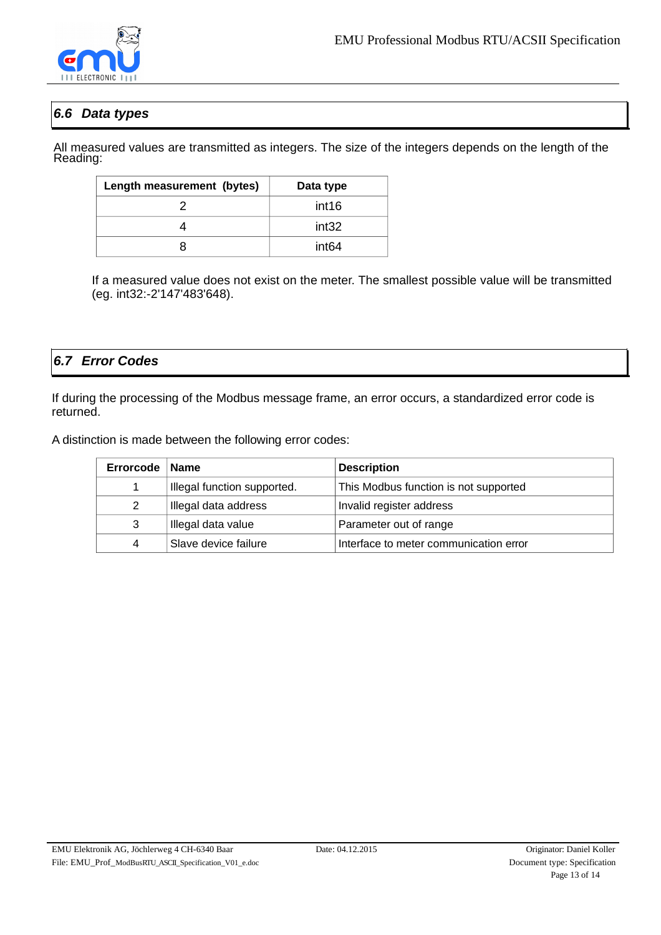

### <span id="page-12-1"></span>*6.6 Data types*

All measured values are transmitted as integers. The size of the integers depends on the length of the Reading:

| Length measurement (bytes) | Data type |
|----------------------------|-----------|
|                            | int16     |
|                            | int32     |
| R                          | int64     |

If a measured value does not exist on the meter. The smallest possible value will be transmitted (eg. int32:-2'147'483'648).

### <span id="page-12-0"></span>*6.7 Error Codes*

If during the processing of the Modbus message frame, an error occurs, a standardized error code is returned.

A distinction is made between the following error codes:

| Errorcode | <b>Name</b>                 | <b>Description</b>                     |
|-----------|-----------------------------|----------------------------------------|
| 1         | Illegal function supported. | This Modbus function is not supported  |
| 2         | Illegal data address        | Invalid register address               |
| 3         | Illegal data value          | Parameter out of range                 |
| 4         | Slave device failure        | Interface to meter communication error |